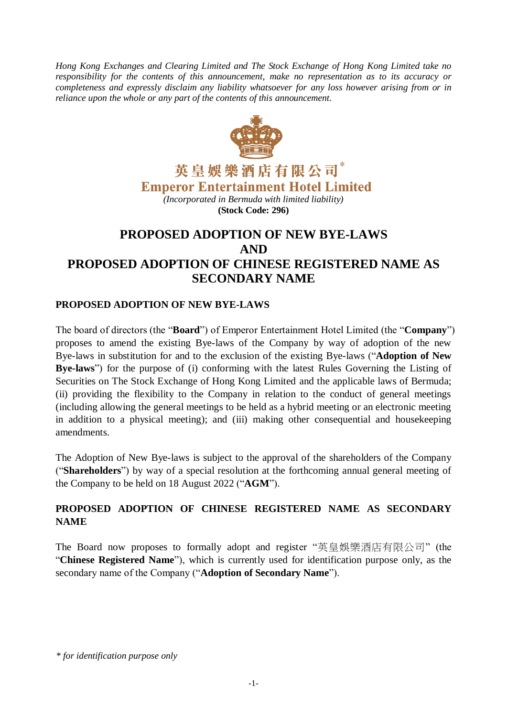*Hong Kong Exchanges and Clearing Limited and The Stock Exchange of Hong Kong Limited take no responsibility for the contents of this announcement, make no representation as to its accuracy or completeness and expressly disclaim any liability whatsoever for any loss however arising from or in reliance upon the whole or any part of the contents of this announcement.*



英皇娛樂酒店有限公司\* **Emperor Entertainment Hotel Limited** 

*(Incorporated in Bermuda with limited liability)* **(Stock Code: 296)**

# **PROPOSED ADOPTION OF NEW BYE-LAWS AND PROPOSED ADOPTION OF CHINESE REGISTERED NAME AS SECONDARY NAME**

# **PROPOSED ADOPTION OF NEW BYE-LAWS**

The board of directors (the "**Board**") of Emperor Entertainment Hotel Limited (the "**Company**") proposes to amend the existing Bye-laws of the Company by way of adoption of the new Bye-laws in substitution for and to the exclusion of the existing Bye-laws ("**Adoption of New Bye-laws**") for the purpose of (i) conforming with the latest Rules Governing the Listing of Securities on The Stock Exchange of Hong Kong Limited and the applicable laws of Bermuda; (ii) providing the flexibility to the Company in relation to the conduct of general meetings (including allowing the general meetings to be held as a hybrid meeting or an electronic meeting in addition to a physical meeting); and (iii) making other consequential and housekeeping amendments.

The Adoption of New Bye-laws is subject to the approval of the shareholders of the Company ("**Shareholders**") by way of a special resolution at the forthcoming annual general meeting of the Company to be held on 18 August 2022 ("**AGM**").

# **PROPOSED ADOPTION OF CHINESE REGISTERED NAME AS SECONDARY NAME**

The Board now proposes to formally adopt and register "英皇娛樂酒店有限公司" (the "**Chinese Registered Name**"), which is currently used for identification purpose only, as the secondary name of the Company ("**Adoption of Secondary Name**").

*\* for identification purpose only*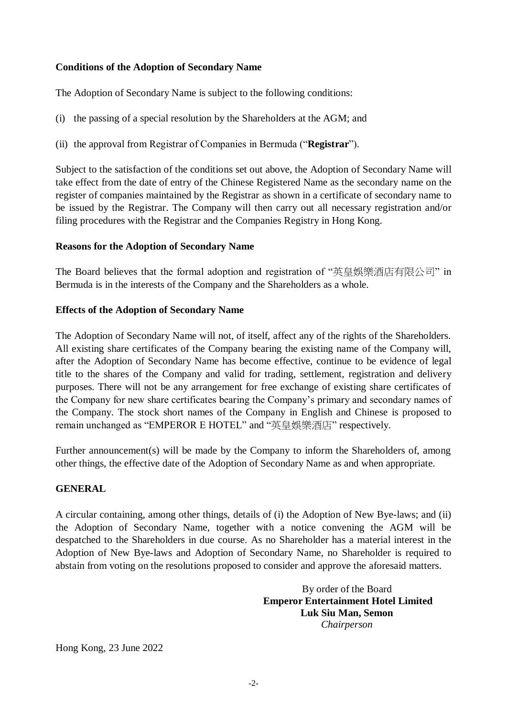## **Conditions of the Adoption of Secondary Name**

The Adoption of Secondary Name is subject to the following conditions:

- (i) the passing of a special resolution by the Shareholders at the AGM; and
- (ii) the approval from Registrar of Companies in Bermuda ("**Registrar**").

Subject to the satisfaction of the conditions set out above, the Adoption of Secondary Name will take effect from the date of entry of the Chinese Registered Name as the secondary name on the register of companies maintained by the Registrar as shown in a certificate of secondary name to be issued by the Registrar. The Company will then carry out all necessary registration and/or filing procedures with the Registrar and the Companies Registry in Hong Kong.

### **Reasons for the Adoption of Secondary Name**

The Board believes that the formal adoption and registration of "英皇娛樂酒店有限公司" in Bermuda is in the interests of the Company and the Shareholders as a whole.

### **Effects of the Adoption of Secondary Name**

The Adoption of Secondary Name will not, of itself, affect any of the rights of the Shareholders. All existing share certificates of the Company bearing the existing name of the Company will, after the Adoption of Secondary Name has become effective, continue to be evidence of legal title to the shares of the Company and valid for trading, settlement, registration and delivery purposes. There will not be any arrangement for free exchange of existing share certificates of the Company for new share certificates bearing the Company's primary and secondary names of the Company. The stock short names of the Company in English and Chinese is proposed to remain unchanged as "EMPEROR E HOTEL" and "英皇娛樂酒店" respectively.

Further announcement(s) will be made by the Company to inform the Shareholders of, among other things, the effective date of the Adoption of Secondary Name as and when appropriate.

### **GENERAL**

A circular containing, among other things, details of (i) the Adoption of New Bye-laws; and (ii) the Adoption of Secondary Name, together with a notice convening the AGM will be despatched to the Shareholders in due course. As no Shareholder has a material interest in the Adoption of New Bye-laws and Adoption of Secondary Name, no Shareholder is required to abstain from voting on the resolutions proposed to consider and approve the aforesaid matters.

> By order of the Board **Emperor Entertainment Hotel Limited Luk Siu Man, Semon** *Chairperson*

Hong Kong, 23 June 2022